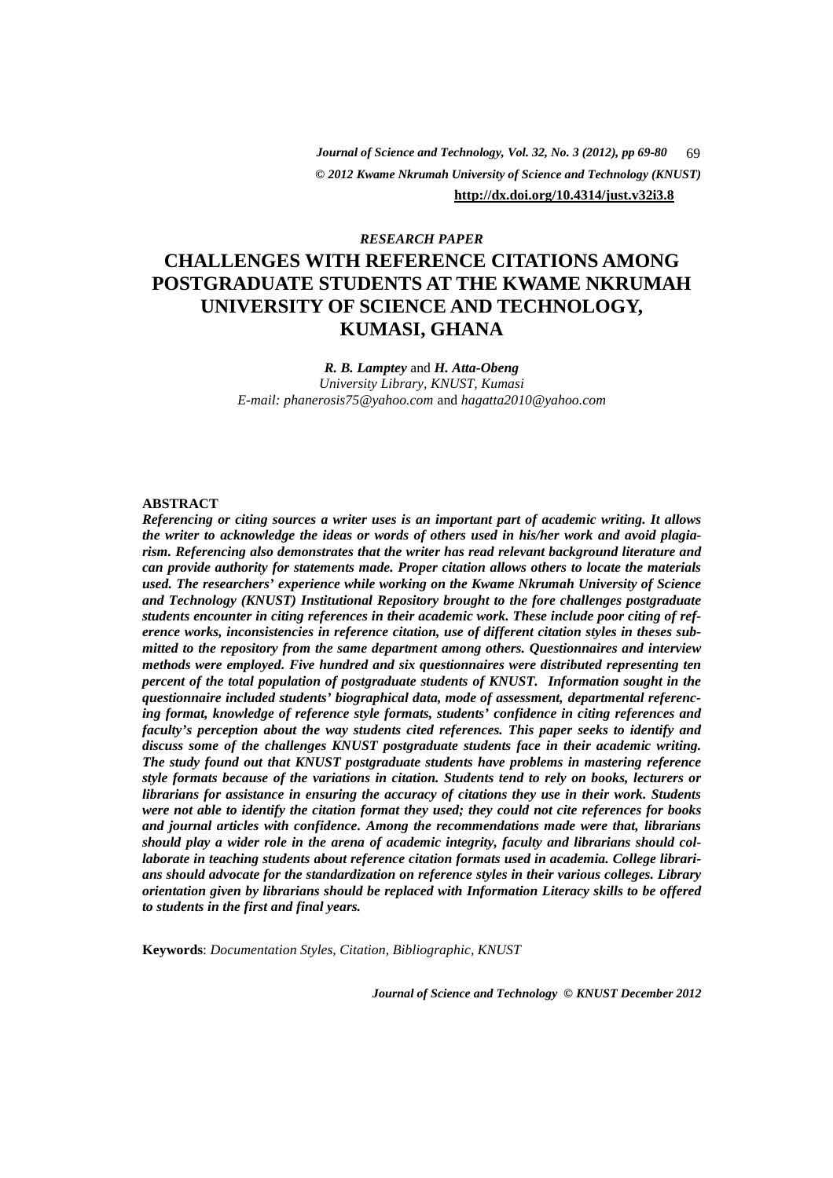*© 2012 Kwame Nkrumah University of Science and Technology (KNUST) Journal of Science and Technology, Vol. 32, No. 3 (2012), pp 69-80* **http://dx.doi.org/10.4314/just.v32i3.8**

## *RESEARCH PAPER*

# **CHALLENGES WITH REFERENCE CITATIONS AMONG POSTGRADUATE STUDENTS AT THE KWAME NKRUMAH UNIVERSITY OF SCIENCE AND TECHNOLOGY, KUMASI, GHANA**

*R. B. Lamptey* and *H. Atta-Obeng University Library, KNUST, Kumasi E-mail: phanerosis75@yahoo.com* and *hagatta2010@yahoo.com*

### **ABSTRACT**

*Referencing or citing sources a writer uses is an important part of academic writing. It allows the writer to acknowledge the ideas or words of others used in his/her work and avoid plagiarism. Referencing also demonstrates that the writer has read relevant background literature and can provide authority for statements made. Proper citation allows others to locate the materials used. The researchers' experience while working on the Kwame Nkrumah University of Science and Technology (KNUST) Institutional Repository brought to the fore challenges postgraduate students encounter in citing references in their academic work. These include poor citing of reference works, inconsistencies in reference citation, use of different citation styles in theses submitted to the repository from the same department among others. Questionnaires and interview methods were employed. Five hundred and six questionnaires were distributed representing ten percent of the total population of postgraduate students of KNUST. Information sought in the questionnaire included students' biographical data, mode of assessment, departmental referencing format, knowledge of reference style formats, students' confidence in citing references and faculty's perception about the way students cited references. This paper seeks to identify and discuss some of the challenges KNUST postgraduate students face in their academic writing. The study found out that KNUST postgraduate students have problems in mastering reference style formats because of the variations in citation. Students tend to rely on books, lecturers or librarians for assistance in ensuring the accuracy of citations they use in their work. Students were not able to identify the citation format they used; they could not cite references for books and journal articles with confidence***.** *Among the recommendations made were that, librarians should play a wider role in the arena of academic integrity, faculty and librarians should collaborate in teaching students about reference citation formats used in academia. College librarians should advocate for the standardization on reference styles in their various colleges. Library orientation given by librarians should be replaced with Information Literacy skills to be offered to students in the first and final years.* 

**Keywords**: *Documentation Styles, Citation, Bibliographic, KNUST*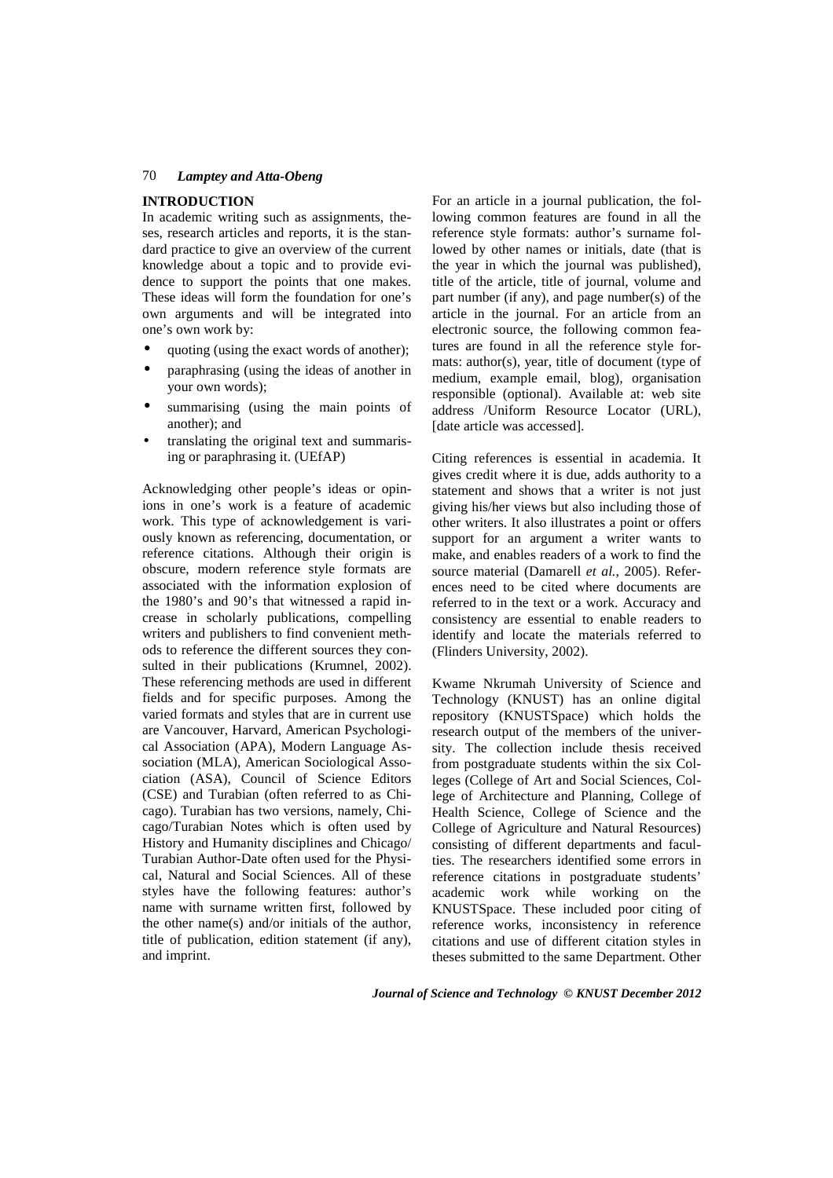### **INTRODUCTION**

In academic writing such as assignments, theses, research articles and reports, it is the standard practice to give an overview of the current knowledge about a topic and to provide evidence to support the points that one makes. These ideas will form the foundation for one's own arguments and will be integrated into one's own work by:

- quoting (using the exact words of another);
- paraphrasing (using the ideas of another in your own words);
- summarising (using the main points of another); and
- translating the original text and summarising or paraphrasing it. (UEfAP)

Acknowledging other people's ideas or opinions in one's work is a feature of academic work. This type of acknowledgement is variously known as referencing, documentation, or reference citations. Although their origin is obscure, modern reference style formats are associated with the information explosion of the 1980's and 90's that witnessed a rapid increase in scholarly publications, compelling writers and publishers to find convenient methods to reference the different sources they consulted in their publications (Krumnel, 2002). These referencing methods are used in different fields and for specific purposes. Among the varied formats and styles that are in current use are Vancouver, Harvard, American Psychological Association (APA), Modern Language Association (MLA), American Sociological Association (ASA), Council of Science Editors (CSE) and Turabian (often referred to as Chicago). Turabian has two versions, namely, Chicago/Turabian Notes which is often used by History and Humanity disciplines and Chicago/ Turabian Author-Date often used for the Physical, Natural and Social Sciences. All of these styles have the following features: author's name with surname written first, followed by the other name(s) and/or initials of the author, title of publication, edition statement (if any), and imprint.

For an article in a journal publication, the following common features are found in all the reference style formats: author's surname followed by other names or initials, date (that is the year in which the journal was published), title of the article, title of journal, volume and part number (if any), and page number(s) of the article in the journal. For an article from an electronic source, the following common features are found in all the reference style formats: author(s), year, title of document (type of medium, example email, blog), organisation responsible (optional). Available at: web site address /Uniform Resource Locator (URL), [date article was accessed].

Citing references is essential in academia. It gives credit where it is due, adds authority to a statement and shows that a writer is not just giving his/her views but also including those of other writers. It also illustrates a point or offers support for an argument a writer wants to make, and enables readers of a work to find the source material (Damarell *et al.*, 2005). References need to be cited where documents are referred to in the text or a work. Accuracy and consistency are essential to enable readers to identify and locate the materials referred to (Flinders University, 2002).

Kwame Nkrumah University of Science and Technology (KNUST) has an online digital repository (KNUSTSpace) which holds the research output of the members of the university. The collection include thesis received from postgraduate students within the six Colleges (College of Art and Social Sciences, College of Architecture and Planning, College of Health Science, College of Science and the College of Agriculture and Natural Resources) consisting of different departments and faculties. The researchers identified some errors in reference citations in postgraduate students' academic work while working on the KNUSTSpace. These included poor citing of reference works, inconsistency in reference citations and use of different citation styles in theses submitted to the same Department. Other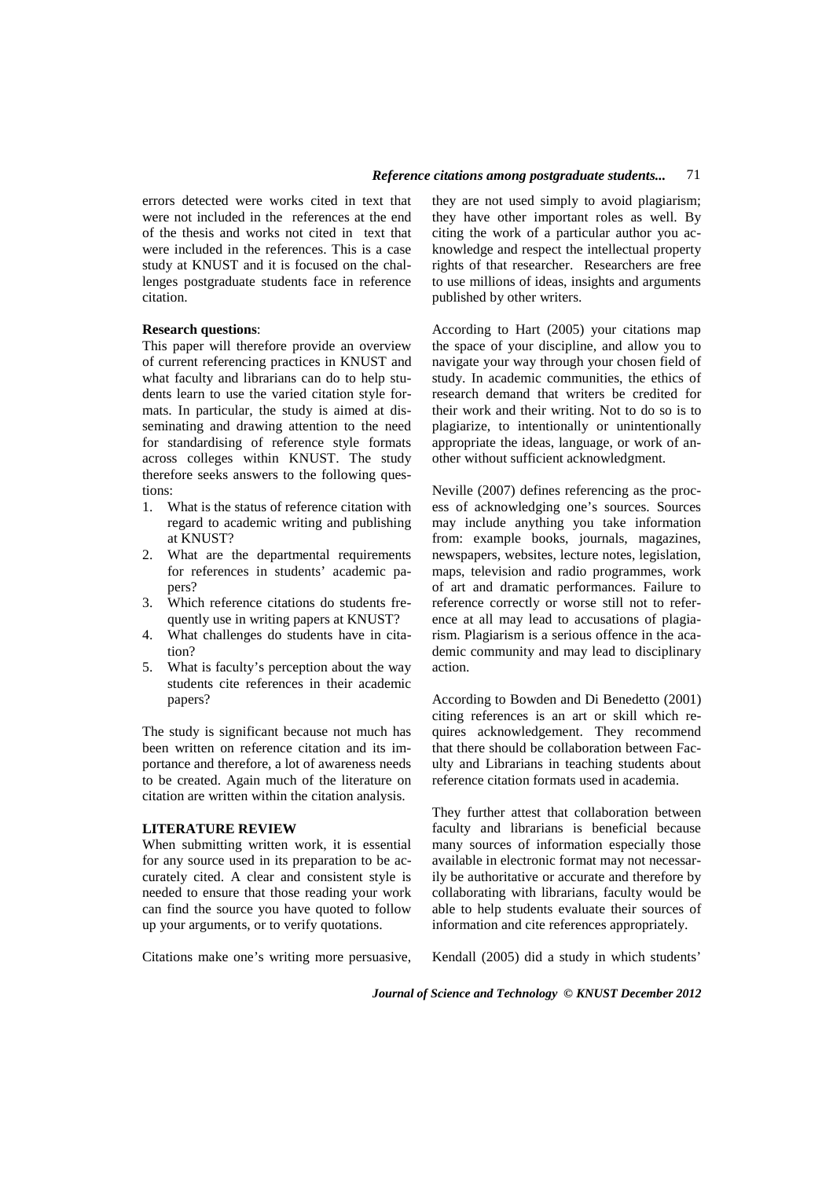errors detected were works cited in text that were not included in the references at the end of the thesis and works not cited in text that were included in the references. This is a case study at KNUST and it is focused on the challenges postgraduate students face in reference citation.

### **Research questions**:

This paper will therefore provide an overview of current referencing practices in KNUST and what faculty and librarians can do to help students learn to use the varied citation style formats. In particular, the study is aimed at disseminating and drawing attention to the need for standardising of reference style formats across colleges within KNUST. The study therefore seeks answers to the following questions:

- 1. What is the status of reference citation with regard to academic writing and publishing at KNUST?
- 2. What are the departmental requirements for references in students' academic papers?
- 3. Which reference citations do students frequently use in writing papers at KNUST?
- 4. What challenges do students have in citation?
- 5. What is faculty's perception about the way students cite references in their academic papers?

The study is significant because not much has been written on reference citation and its importance and therefore, a lot of awareness needs to be created. Again much of the literature on citation are written within the citation analysis.

### **LITERATURE REVIEW**

When submitting written work, it is essential for any source used in its preparation to be accurately cited. A clear and consistent style is needed to ensure that those reading your work can find the source you have quoted to follow up your arguments, or to verify quotations.

Citations make one's writing more persuasive,

they are not used simply to avoid plagiarism; they have other important roles as well. By citing the work of a particular author you acknowledge and respect the intellectual property rights of that researcher. Researchers are free to use millions of ideas, insights and arguments published by other writers.

According to Hart (2005) your citations map the space of your discipline, and allow you to navigate your way through your chosen field of study. In academic communities, the ethics of research demand that writers be credited for their work and their writing. Not to do so is to plagiarize, to intentionally or unintentionally appropriate the ideas, language, or work of another without sufficient acknowledgment.

Neville (2007) defines referencing as the process of acknowledging one's sources. Sources may include anything you take information from: example books, journals, magazines, newspapers, websites, lecture notes, legislation, maps, television and radio programmes, work of art and dramatic performances. Failure to reference correctly or worse still not to reference at all may lead to accusations of plagiarism. Plagiarism is a serious offence in the academic community and may lead to disciplinary action.

According to Bowden and Di Benedetto (2001) citing references is an art or skill which requires acknowledgement. They recommend that there should be collaboration between Faculty and Librarians in teaching students about reference citation formats used in academia.

They further attest that collaboration between faculty and librarians is beneficial because many sources of information especially those available in electronic format may not necessarily be authoritative or accurate and therefore by collaborating with librarians, faculty would be able to help students evaluate their sources of information and cite references appropriately.

Kendall (2005) did a study in which students'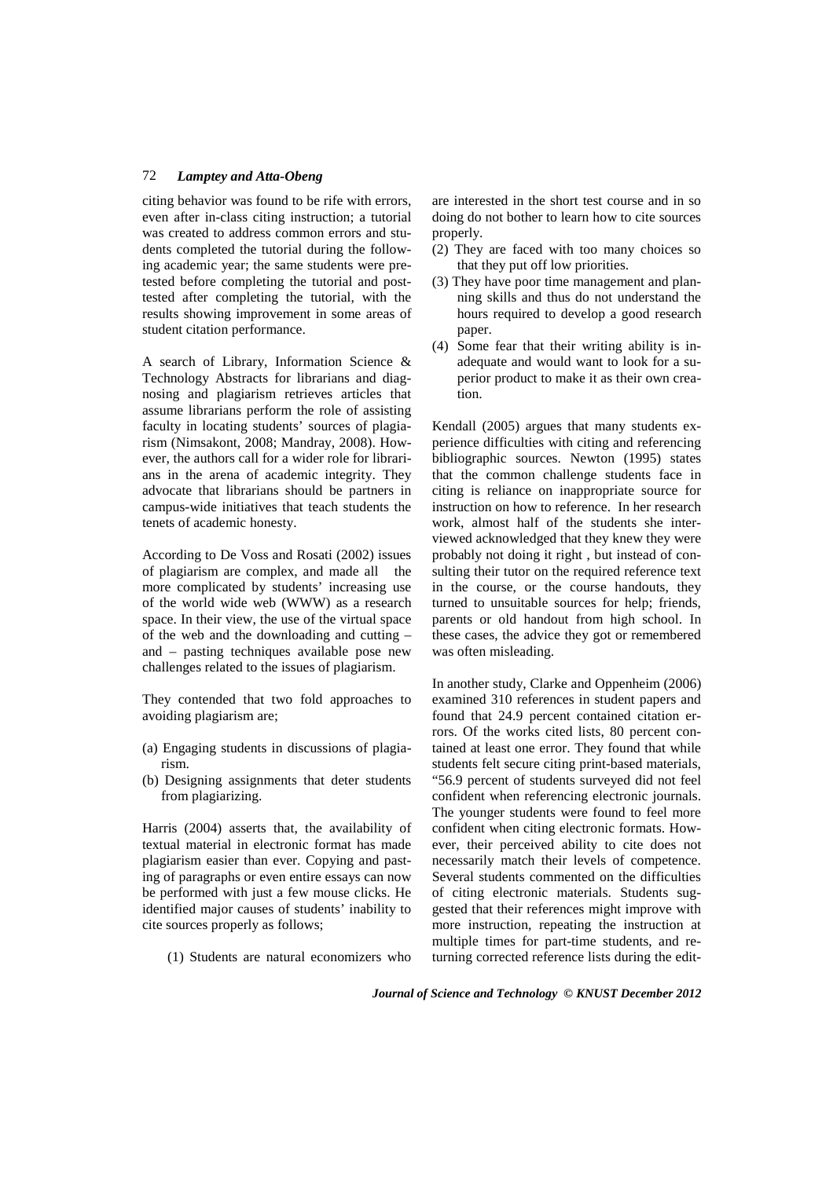citing behavior was found to be rife with errors, even after in-class citing instruction; a tutorial was created to address common errors and students completed the tutorial during the following academic year; the same students were pretested before completing the tutorial and posttested after completing the tutorial, with the results showing improvement in some areas of student citation performance.

A search of Library, Information Science & Technology Abstracts for librarians and diagnosing and plagiarism retrieves articles that assume librarians perform the role of assisting faculty in locating students' sources of plagiarism (Nimsakont, 2008; Mandray, 2008). However, the authors call for a wider role for librarians in the arena of academic integrity. They advocate that librarians should be partners in campus-wide initiatives that teach students the tenets of academic honesty.

According to De Voss and Rosati (2002) issues of plagiarism are complex, and made all the more complicated by students' increasing use of the world wide web (WWW) as a research space. In their view, the use of the virtual space of the web and the downloading and cutting – and – pasting techniques available pose new challenges related to the issues of plagiarism.

They contended that two fold approaches to avoiding plagiarism are;

- (a) Engaging students in discussions of plagiarism.
- (b) Designing assignments that deter students from plagiarizing.

Harris (2004) asserts that, the availability of textual material in electronic format has made plagiarism easier than ever. Copying and pasting of paragraphs or even entire essays can now be performed with just a few mouse clicks. He identified major causes of students' inability to cite sources properly as follows;

(1) Students are natural economizers who

are interested in the short test course and in so doing do not bother to learn how to cite sources properly.

- (2) They are faced with too many choices so that they put off low priorities.
- (3) They have poor time management and planning skills and thus do not understand the hours required to develop a good research paper.
- (4) Some fear that their writing ability is inadequate and would want to look for a superior product to make it as their own creation.

Kendall (2005) argues that many students experience difficulties with citing and referencing bibliographic sources. Newton (1995) states that the common challenge students face in citing is reliance on inappropriate source for instruction on how to reference. In her research work, almost half of the students she interviewed acknowledged that they knew they were probably not doing it right , but instead of consulting their tutor on the required reference text in the course, or the course handouts, they turned to unsuitable sources for help; friends, parents or old handout from high school. In these cases, the advice they got or remembered was often misleading.

In another study, Clarke and Oppenheim (2006) examined 310 references in student papers and found that 24.9 percent contained citation errors. Of the works cited lists, 80 percent contained at least one error. They found that while students felt secure citing print-based materials, "56.9 percent of students surveyed did not feel confident when referencing electronic journals. The younger students were found to feel more confident when citing electronic formats. However, their perceived ability to cite does not necessarily match their levels of competence. Several students commented on the difficulties of citing electronic materials. Students suggested that their references might improve with more instruction, repeating the instruction at multiple times for part-time students, and returning corrected reference lists during the edit-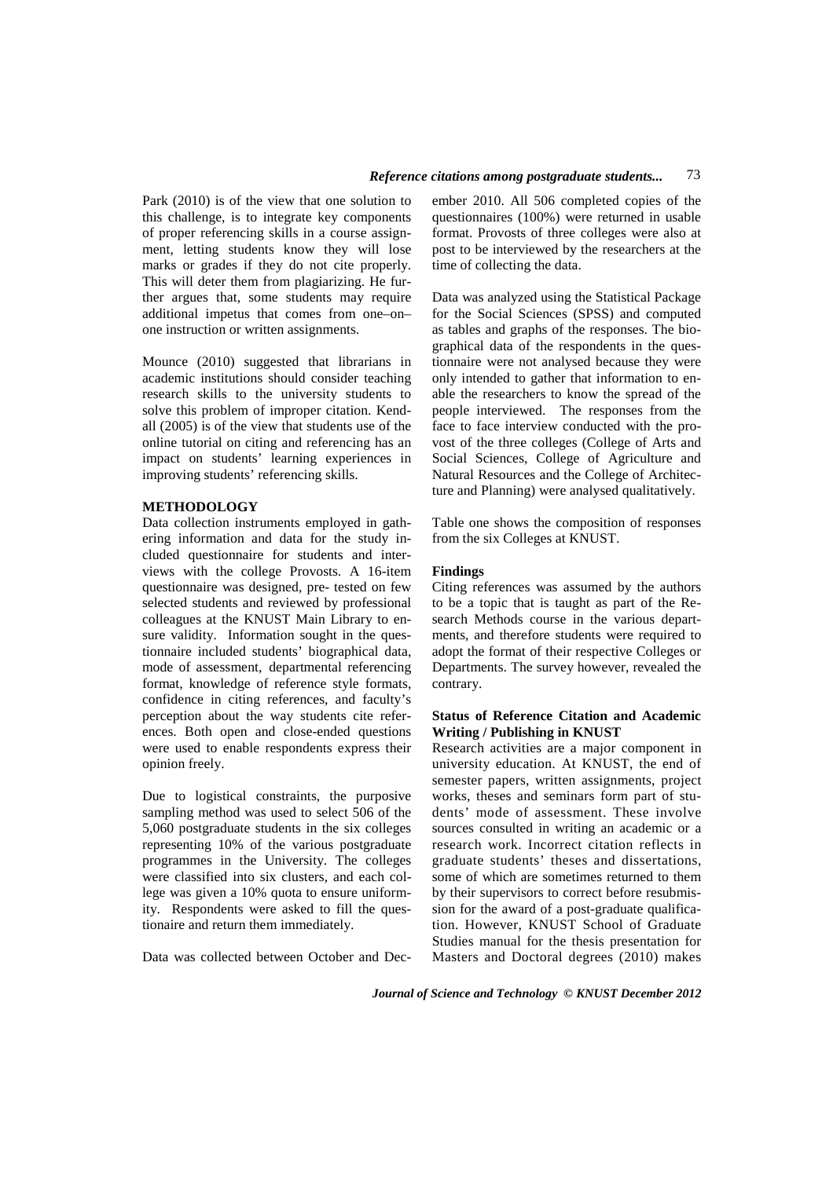Park (2010) is of the view that one solution to this challenge, is to integrate key components of proper referencing skills in a course assignment, letting students know they will lose marks or grades if they do not cite properly. This will deter them from plagiarizing. He further argues that, some students may require additional impetus that comes from one–on– one instruction or written assignments.

Mounce (2010) suggested that librarians in academic institutions should consider teaching research skills to the university students to solve this problem of improper citation. Kendall (2005) is of the view that students use of the online tutorial on citing and referencing has an impact on students' learning experiences in improving students' referencing skills.

### **METHODOLOGY**

Data collection instruments employed in gathering information and data for the study included questionnaire for students and interviews with the college Provosts. A 16-item questionnaire was designed, pre- tested on few selected students and reviewed by professional colleagues at the KNUST Main Library to ensure validity. Information sought in the questionnaire included students' biographical data, mode of assessment, departmental referencing format, knowledge of reference style formats, confidence in citing references, and faculty's perception about the way students cite references. Both open and close-ended questions were used to enable respondents express their opinion freely.

Due to logistical constraints, the purposive sampling method was used to select 506 of the 5,060 postgraduate students in the six colleges representing 10% of the various postgraduate programmes in the University. The colleges were classified into six clusters, and each college was given a 10% quota to ensure uniformity. Respondents were asked to fill the questionaire and return them immediately.

Data was collected between October and Dec-

ember 2010. All 506 completed copies of the questionnaires (100%) were returned in usable format. Provosts of three colleges were also at post to be interviewed by the researchers at the time of collecting the data.

Data was analyzed using the Statistical Package for the Social Sciences (SPSS) and computed as tables and graphs of the responses. The biographical data of the respondents in the questionnaire were not analysed because they were only intended to gather that information to enable the researchers to know the spread of the people interviewed. The responses from the face to face interview conducted with the provost of the three colleges (College of Arts and Social Sciences, College of Agriculture and Natural Resources and the College of Architecture and Planning) were analysed qualitatively.

Table one shows the composition of responses from the six Colleges at KNUST.

### **Findings**

Citing references was assumed by the authors to be a topic that is taught as part of the Research Methods course in the various departments, and therefore students were required to adopt the format of their respective Colleges or Departments. The survey however, revealed the contrary.

### **Status of Reference Citation and Academic Writing / Publishing in KNUST**

Research activities are a major component in university education. At KNUST, the end of semester papers, written assignments, project works, theses and seminars form part of students' mode of assessment. These involve sources consulted in writing an academic or a research work. Incorrect citation reflects in graduate students' theses and dissertations, some of which are sometimes returned to them by their supervisors to correct before resubmission for the award of a post-graduate qualification. However, KNUST School of Graduate Studies manual for the thesis presentation for Masters and Doctoral degrees (2010) makes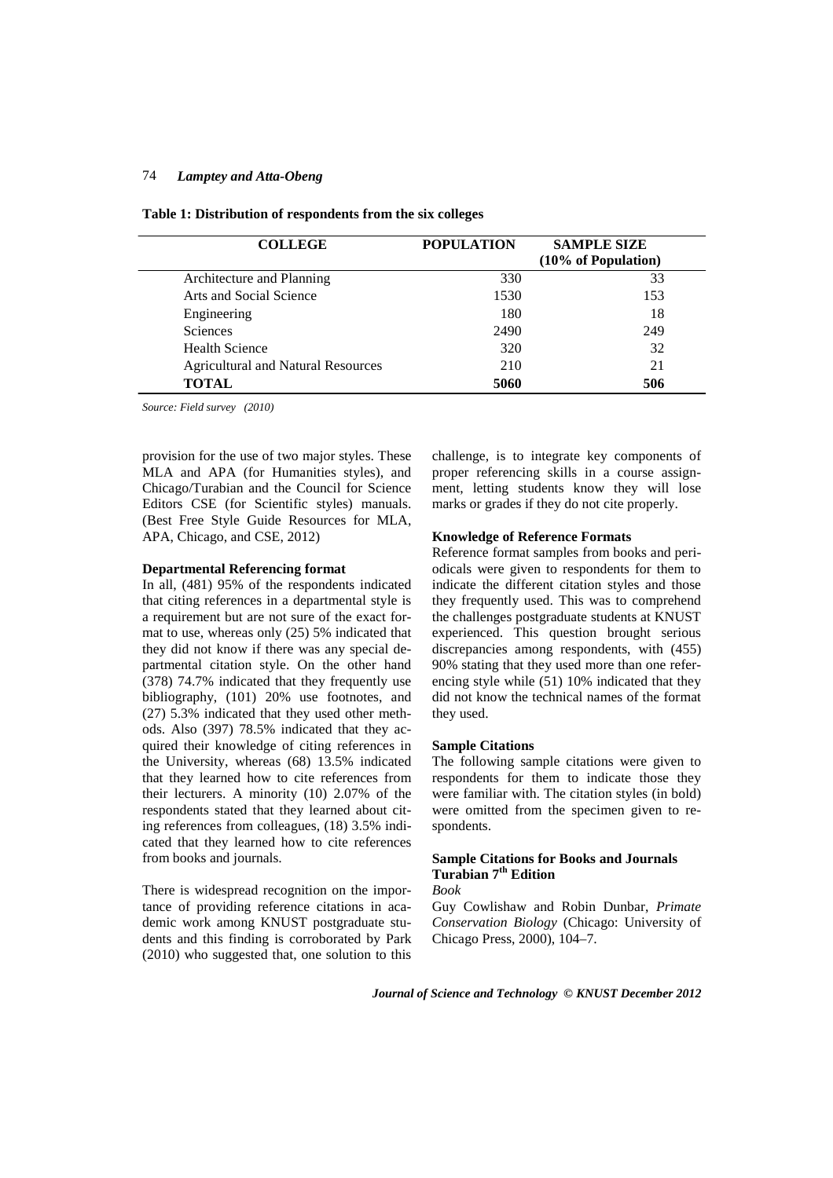| <b>COLLEGE</b>                            | <b>POPULATION</b> | <b>SAMPLE SIZE</b>  |
|-------------------------------------------|-------------------|---------------------|
|                                           |                   | (10% of Population) |
| Architecture and Planning                 | 330               | 33                  |
| Arts and Social Science                   | 1530              | 153                 |
| Engineering                               | 180               | 18                  |
| <b>Sciences</b>                           | 2490              | 249                 |
| <b>Health Science</b>                     | 320               | 32                  |
| <b>Agricultural and Natural Resources</b> | 210               | 21                  |
| <b>TOTAL</b>                              | 5060              | 506                 |

*Source: Field survey (2010)* 

provision for the use of two major styles. These MLA and APA (for Humanities styles), and Chicago/Turabian and the Council for Science Editors CSE (for Scientific styles) manuals. (Best Free Style Guide Resources for MLA, APA, Chicago, and CSE, 2012)

#### **Departmental Referencing format**

In all, (481) 95% of the respondents indicated that citing references in a departmental style is a requirement but are not sure of the exact format to use, whereas only (25) 5% indicated that they did not know if there was any special departmental citation style. On the other hand (378) 74.7% indicated that they frequently use bibliography, (101) 20% use footnotes, and (27) 5.3% indicated that they used other methods. Also (397) 78.5% indicated that they acquired their knowledge of citing references in the University, whereas (68) 13.5% indicated that they learned how to cite references from their lecturers. A minority (10) 2.07% of the respondents stated that they learned about citing references from colleagues, (18) 3.5% indicated that they learned how to cite references from books and journals.

There is widespread recognition on the importance of providing reference citations in academic work among KNUST postgraduate students and this finding is corroborated by Park (2010) who suggested that, one solution to this

challenge, is to integrate key components of proper referencing skills in a course assignment, letting students know they will lose marks or grades if they do not cite properly.

### **Knowledge of Reference Formats**

Reference format samples from books and periodicals were given to respondents for them to indicate the different citation styles and those they frequently used. This was to comprehend the challenges postgraduate students at KNUST experienced. This question brought serious discrepancies among respondents, with (455) 90% stating that they used more than one referencing style while (51) 10% indicated that they did not know the technical names of the format they used.

### **Sample Citations**

The following sample citations were given to respondents for them to indicate those they were familiar with. The citation styles (in bold) were omitted from the specimen given to respondents.

### **Sample Citations for Books and Journals Turabian 7 th Edition**

*Book* 

Guy Cowlishaw and Robin Dunbar, *Primate Conservation Biology* (Chicago: University of Chicago Press, 2000), 104–7.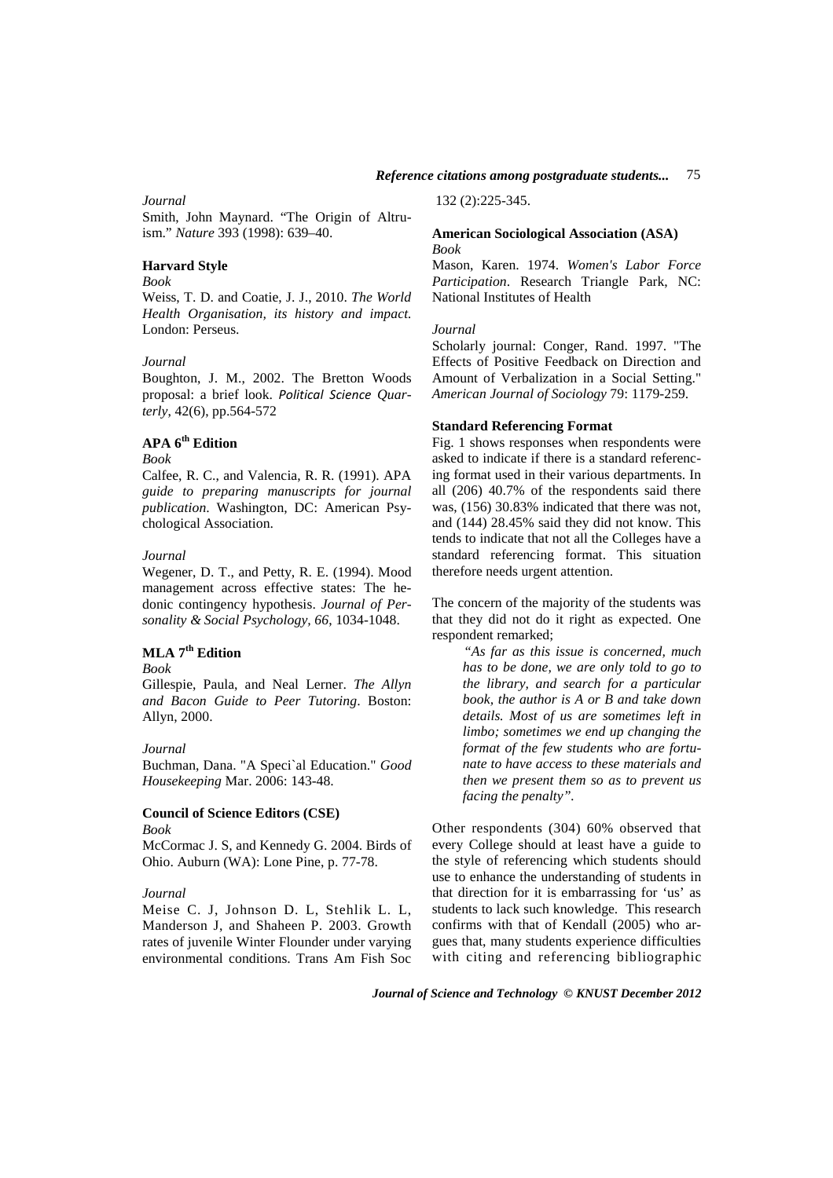#### *Journal*

Smith, John Maynard. "The Origin of Altruism." *Nature* 393 (1998): 639–40.

### **Harvard Style**

### *Book*

Weiss, T. D. and Coatie, J. J., 2010. *The World Health Organisation, its history and impact.* London: Perseus.

### *Journal*

Boughton, J. M., 2002. The Bretton Woods proposal: a brief look. *Political Science Quarterly*, 42(6), pp.564-572

### **APA 6th Edition**

*Book* 

Calfee, R. C., and Valencia, R. R. (1991). APA *guide to preparing manuscripts for journal publication*. Washington, DC: American Psychological Association.

#### *Journal*

Wegener, D. T., and Petty, R. E. (1994). Mood management across effective states: The hedonic contingency hypothesis. *Journal of Personality & Social Psychology, 66*, 1034-1048.

# **MLA 7th Edition**

*Book* 

Gillespie, Paula, and Neal Lerner. *The Allyn and Bacon Guide to Peer Tutoring*. Boston: Allyn, 2000.

#### *Journal*

Buchman, Dana. "A Speci`al Education." *Good Housekeeping* Mar. 2006: 143-48.

#### **Council of Science Editors (CSE)** *Book*

McCormac J. S, and Kennedy G. 2004. Birds of Ohio. Auburn (WA): Lone Pine, p. 77-78.

#### *Journal*

Meise C. J, Johnson D. L, Stehlik L. L, Manderson J, and Shaheen P. 2003. Growth rates of juvenile Winter Flounder under varying environmental conditions. Trans Am Fish Soc

#### 132 (2):225-345.

#### **American Sociological Association (ASA)** *Book*

Mason, Karen. 1974. *Women's Labor Force Participation*. Research Triangle Park, NC: National Institutes of Health

*Journal* 

Scholarly journal: Conger, Rand. 1997. "The Effects of Positive Feedback on Direction and Amount of Verbalization in a Social Setting." *American Journal of Sociology* 79: 1179-259.

#### **Standard Referencing Format**

Fig. 1 shows responses when respondents were asked to indicate if there is a standard referencing format used in their various departments. In all (206) 40.7% of the respondents said there was, (156) 30.83% indicated that there was not, and (144) 28.45% said they did not know. This tends to indicate that not all the Colleges have a standard referencing format. This situation therefore needs urgent attention.

The concern of the majority of the students was that they did not do it right as expected. One respondent remarked;

> *"As far as this issue is concerned, much has to be done, we are only told to go to the library, and search for a particular book, the author is A or B and take down details. Most of us are sometimes left in limbo; sometimes we end up changing the format of the few students who are fortunate to have access to these materials and then we present them so as to prevent us facing the penalty".*

Other respondents (304) 60% observed that every College should at least have a guide to the style of referencing which students should use to enhance the understanding of students in that direction for it is embarrassing for 'us' as students to lack such knowledge. This research confirms with that of Kendall (2005) who argues that, many students experience difficulties with citing and referencing bibliographic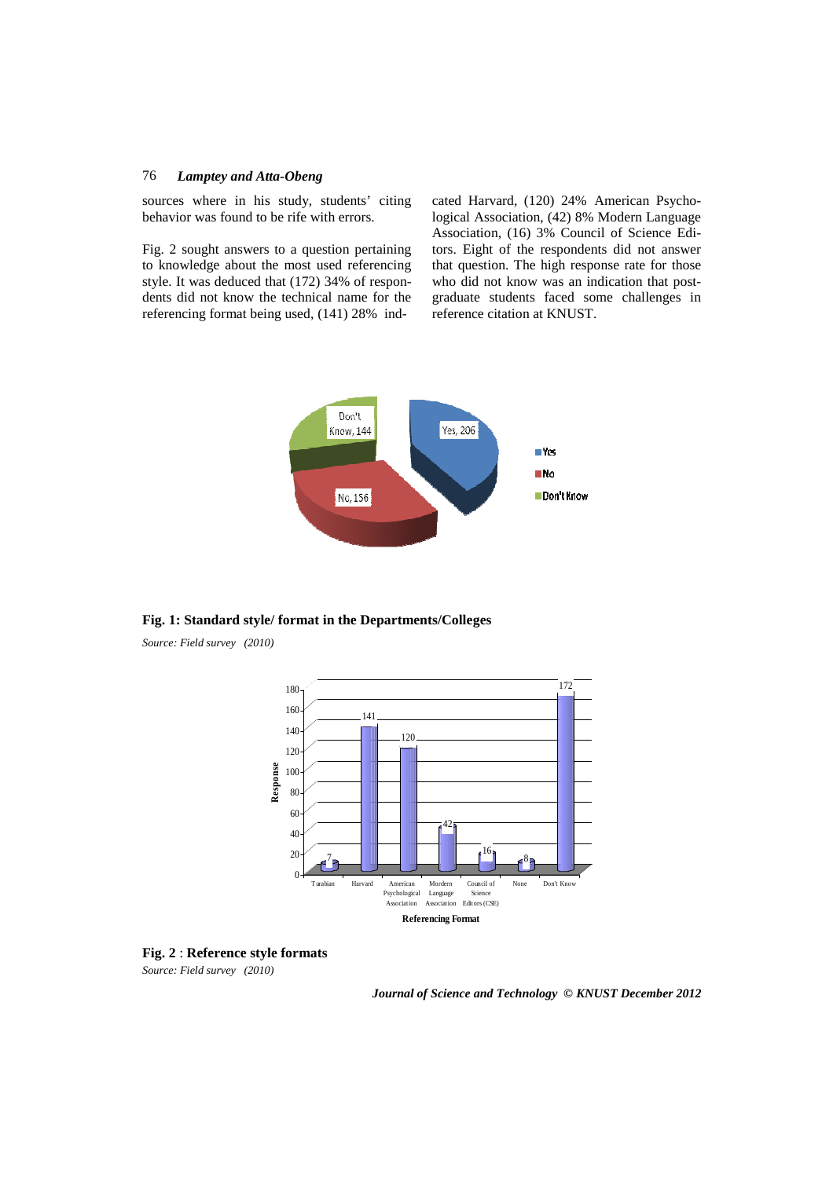sources where in his study, students' citing behavior was found to be rife with errors.

Fig. 2 sought answers to a question pertaining to knowledge about the most used referencing style. It was deduced that (172) 34% of respondents did not know the technical name for the referencing format being used, (141) 28% indcated Harvard, (120) 24% American Psychological Association, (42) 8% Modern Language Association, (16) 3% Council of Science Editors. Eight of the respondents did not answer that question. The high response rate for those who did not know was an indication that postgraduate students faced some challenges in reference citation at KNUST.



### **Fig. 1: Standard style/ format in the Departments/Colleges**

*Source: Field survey (2010)* 





*Source: Field survey (2010)* 

*Journal of Science and Technology © KNUST December 2012*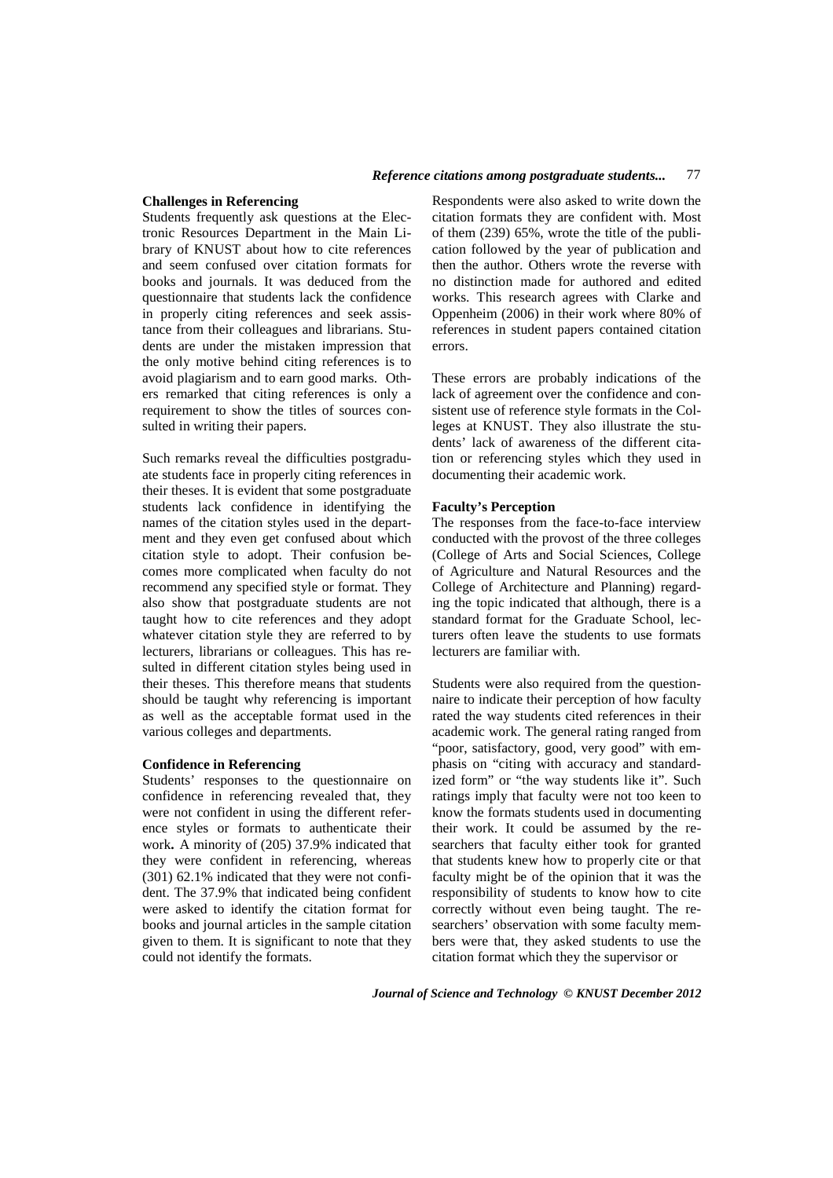### *Reference citations among postgraduate students...* 77

#### **Challenges in Referencing**

Students frequently ask questions at the Electronic Resources Department in the Main Library of KNUST about how to cite references and seem confused over citation formats for books and journals. It was deduced from the questionnaire that students lack the confidence in properly citing references and seek assistance from their colleagues and librarians. Students are under the mistaken impression that the only motive behind citing references is to avoid plagiarism and to earn good marks. Others remarked that citing references is only a requirement to show the titles of sources consulted in writing their papers.

Such remarks reveal the difficulties postgraduate students face in properly citing references in their theses. It is evident that some postgraduate students lack confidence in identifying the names of the citation styles used in the department and they even get confused about which citation style to adopt. Their confusion becomes more complicated when faculty do not recommend any specified style or format. They also show that postgraduate students are not taught how to cite references and they adopt whatever citation style they are referred to by lecturers, librarians or colleagues. This has resulted in different citation styles being used in their theses. This therefore means that students should be taught why referencing is important as well as the acceptable format used in the various colleges and departments.

#### **Confidence in Referencing**

Students' responses to the questionnaire on confidence in referencing revealed that, they were not confident in using the different reference styles or formats to authenticate their work**.** A minority of (205) 37.9% indicated that they were confident in referencing, whereas (301) 62.1% indicated that they were not confident. The 37.9% that indicated being confident were asked to identify the citation format for books and journal articles in the sample citation given to them. It is significant to note that they could not identify the formats.

Respondents were also asked to write down the citation formats they are confident with. Most of them (239) 65%, wrote the title of the publication followed by the year of publication and then the author. Others wrote the reverse with no distinction made for authored and edited works. This research agrees with Clarke and Oppenheim (2006) in their work where 80% of references in student papers contained citation errors.

These errors are probably indications of the lack of agreement over the confidence and consistent use of reference style formats in the Colleges at KNUST. They also illustrate the students' lack of awareness of the different citation or referencing styles which they used in documenting their academic work.

#### **Faculty's Perception**

The responses from the face-to-face interview conducted with the provost of the three colleges (College of Arts and Social Sciences, College of Agriculture and Natural Resources and the College of Architecture and Planning) regarding the topic indicated that although, there is a standard format for the Graduate School, lecturers often leave the students to use formats lecturers are familiar with.

Students were also required from the questionnaire to indicate their perception of how faculty rated the way students cited references in their academic work. The general rating ranged from "poor, satisfactory, good, very good" with emphasis on "citing with accuracy and standardized form" or "the way students like it". Such ratings imply that faculty were not too keen to know the formats students used in documenting their work. It could be assumed by the researchers that faculty either took for granted that students knew how to properly cite or that faculty might be of the opinion that it was the responsibility of students to know how to cite correctly without even being taught. The researchers' observation with some faculty members were that, they asked students to use the citation format which they the supervisor or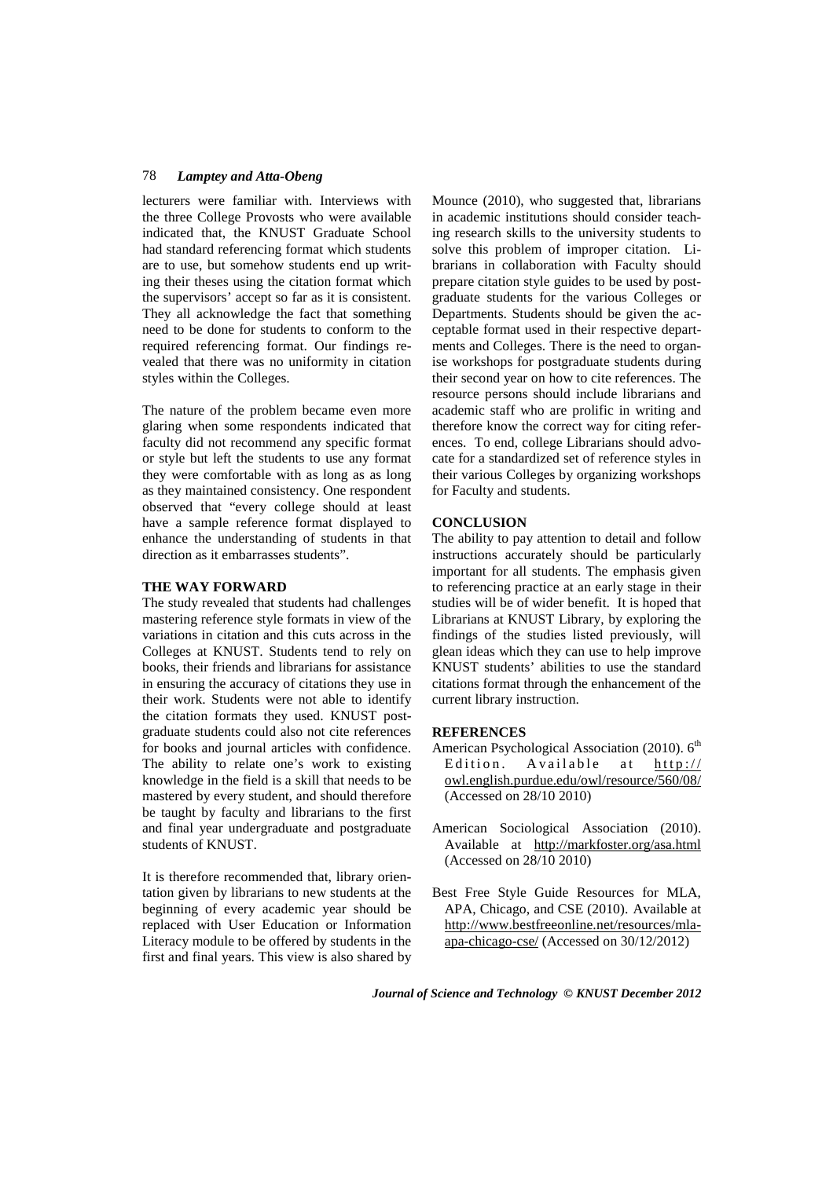lecturers were familiar with. Interviews with the three College Provosts who were available indicated that, the KNUST Graduate School had standard referencing format which students are to use, but somehow students end up writing their theses using the citation format which the supervisors' accept so far as it is consistent. They all acknowledge the fact that something need to be done for students to conform to the required referencing format. Our findings revealed that there was no uniformity in citation styles within the Colleges.

The nature of the problem became even more glaring when some respondents indicated that faculty did not recommend any specific format or style but left the students to use any format they were comfortable with as long as as long as they maintained consistency. One respondent observed that "every college should at least have a sample reference format displayed to enhance the understanding of students in that direction as it embarrasses students".

### **THE WAY FORWARD**

The study revealed that students had challenges mastering reference style formats in view of the variations in citation and this cuts across in the Colleges at KNUST. Students tend to rely on books, their friends and librarians for assistance in ensuring the accuracy of citations they use in their work. Students were not able to identify the citation formats they used. KNUST postgraduate students could also not cite references for books and journal articles with confidence. The ability to relate one's work to existing knowledge in the field is a skill that needs to be mastered by every student, and should therefore be taught by faculty and librarians to the first and final year undergraduate and postgraduate students of KNUST.

It is therefore recommended that, library orientation given by librarians to new students at the beginning of every academic year should be replaced with User Education or Information Literacy module to be offered by students in the first and final years. This view is also shared by

Mounce (2010), who suggested that, librarians in academic institutions should consider teaching research skills to the university students to solve this problem of improper citation. Librarians in collaboration with Faculty should prepare citation style guides to be used by postgraduate students for the various Colleges or Departments. Students should be given the acceptable format used in their respective departments and Colleges. There is the need to organise workshops for postgraduate students during their second year on how to cite references. The resource persons should include librarians and academic staff who are prolific in writing and therefore know the correct way for citing references. To end, college Librarians should advocate for a standardized set of reference styles in their various Colleges by organizing workshops for Faculty and students.

#### **CONCLUSION**

The ability to pay attention to detail and follow instructions accurately should be particularly important for all students. The emphasis given to referencing practice at an early stage in their studies will be of wider benefit. It is hoped that Librarians at KNUST Library, by exploring the findings of the studies listed previously, will glean ideas which they can use to help improve KNUST students' abilities to use the standard citations format through the enhancement of the current library instruction.

### **REFERENCES**

- American Psychological Association  $(2010)$ .  $6<sup>th</sup>$ Edition. Available at  $h$ ttp:// owl.english.purdue.edu/owl/resource/560/08/ (Accessed on 28/10 2010)
- American Sociological Association (2010). Available at http://markfoster.org/asa.html (Accessed on 28/10 2010)
- Best Free Style Guide Resources for MLA, APA, Chicago, and CSE (2010). Available at http://www.bestfreeonline.net/resources/mlaapa-chicago-cse/ (Accessed on 30/12/2012)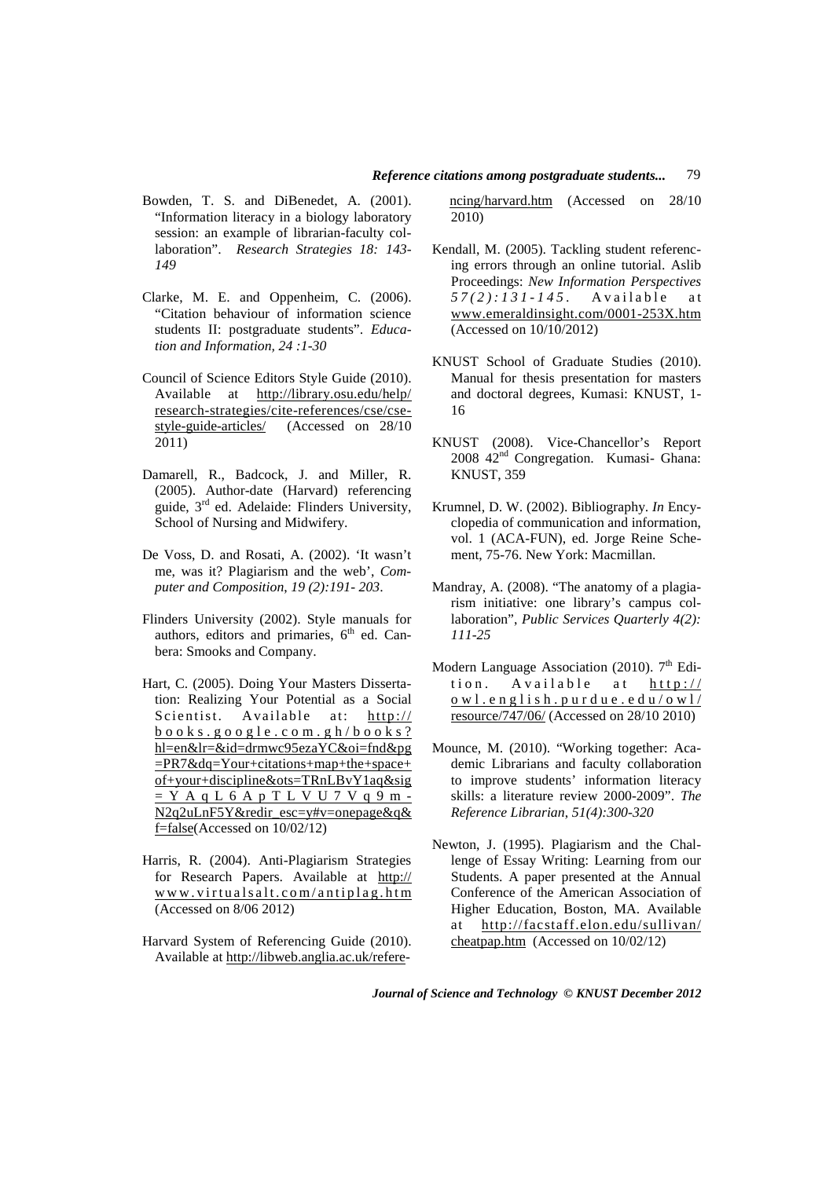- Bowden, T. S. and DiBenedet, A. (2001). "Information literacy in a biology laboratory session: an example of librarian-faculty collaboration". *Research Strategies 18: 143- 149*
- Clarke, M. E. and Oppenheim, C. (2006). "Citation behaviour of information science students II: postgraduate students". *Education and Information, 24 :1-30*
- Council of Science Editors Style Guide (2010). Available at http://library.osu.edu/help/ research-strategies/cite-references/cse/csestyle-guide-articles/ (Accessed on 28/10 2011)
- Damarell, R., Badcock, J. and Miller, R. (2005). Author-date (Harvard) referencing guide, 3rd ed. Adelaide: Flinders University, School of Nursing and Midwifery.
- De Voss, D. and Rosati, A. (2002). 'It wasn't me, was it? Plagiarism and the web', *Computer and Composition*, *19 (2):191- 203*.
- Flinders University (2002). Style manuals for authors, editors and primaries, 6<sup>th</sup> ed. Canbera: Smooks and Company.
- Hart, C. (2005). Doing Your Masters Dissertation: Realizing Your Potential as a Social Scientist. Available at: http://  $b$  o o k s . g o o g l e . c o m . g h /  $b$  o o k s ? hl=en&lr=&id=drmwc95ezaYC&oi=fnd&pg =PR7&dq=Your+citations+map+the+space+ of+your+discipline&ots=TRnLBvY1aq&sig  $=$  Y A q L 6 A p T L V U 7 V q 9 m -N2q2uLnF5Y&redir\_esc=y#v=onepage&q& f=false(Accessed on 10/02/12)
- Harris, R. (2004). Anti-Plagiarism Strategies for Research Papers. Available at http:// www.virtualsalt.com/antiplag.htm (Accessed on 8/06 2012)
- Harvard System of Referencing Guide (2010). Available at http://libweb.anglia.ac.uk/refere-

 ncing/harvard.htm (Accessed on 28/10 2010)

- Kendall, M. (2005). Tackling student referencing errors through an online tutorial. Aslib Proceedings: *New Information Perspectives 57(2):131-145*. Available at www.emeraldinsight.com/0001-253X.htm (Accessed on 10/10/2012)
- KNUST School of Graduate Studies (2010). Manual for thesis presentation for masters and doctoral degrees, Kumasi: KNUST, 1- 16
- KNUST (2008). Vice-Chancellor's Report 2008 42<sup>nd</sup> Congregation. Kumasi- Ghana: KNUST, 359
- Krumnel, D. W. (2002). Bibliography. *In* Encyclopedia of communication and information, vol. 1 (ACA-FUN), ed. Jorge Reine Schement, 75-76. New York: Macmillan.
- Mandray, A. (2008). "The anatomy of a plagiarism initiative: one library's campus collaboration", *Public Services Quarterly 4(2): 111-25*
- Modern Language Association (2010).  $7<sup>th</sup>$  Edi $tion.$  Available at  $http://$  $o$  w l . e n g l i s h . p u r d u e . e d u  $o$  w l  $/$ resource/747/06/ (Accessed on 28/10 2010)
- Mounce, M. (2010). "Working together: Academic Librarians and faculty collaboration to improve students' information literacy skills: a literature review 2000-2009". *The Reference Librarian*, *51(4):300-320*
- Newton, J. (1995). Plagiarism and the Challenge of Essay Writing: Learning from our Students. A paper presented at the Annual Conference of the American Association of Higher Education, Boston, MA. Available at http://facstaff.elon.edu/sullivan/ cheatpap.htm (Accessed on 10/02/12)